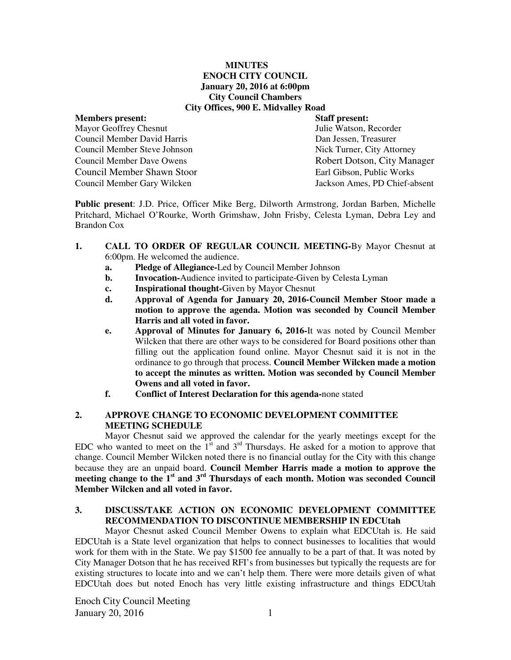### **MINUTES ENOCH CITY COUNCIL January 20, 2016 at 6:00pm City Council Chambers City Offices, 900 E. Midvalley Road**

# **Members present: Staff present: Staff present: Staff present: Mayor Geoffrey Chesnut** Mayor Geoffrey Chesnut Council Member David Harris Dan Jessen, Treasurer Council Member Steve Johnson Nick Turner, City Attorney Council Member Dave Owens **Robert Dotson, City Manager** Council Member Shawn Stoor Earl Gibson, Public Works Council Member Gary Wilcken Jackson Ames, PD Chief-absent

**Public present**: J.D. Price, Officer Mike Berg, Dilworth Armstrong, Jordan Barben, Michelle Pritchard, Michael O'Rourke, Worth Grimshaw, John Frisby, Celesta Lyman, Debra Ley and Brandon Cox

- **1. CALL TO ORDER OF REGULAR COUNCIL MEETING-**By Mayor Chesnut at 6:00pm. He welcomed the audience.
	- **a. Pledge of Allegiance-**Led by Council Member Johnson
	- **b.** Invocation-Audience invited to participate-Given by Celesta Lyman
	- **c. Inspirational thought-**Given by Mayor Chesnut
	- **d. Approval of Agenda for January 20, 2016-Council Member Stoor made a motion to approve the agenda. Motion was seconded by Council Member Harris and all voted in favor.**
	- **e. Approval of Minutes for January 6, 2016-**It was noted by Council Member Wilcken that there are other ways to be considered for Board positions other than filling out the application found online. Mayor Chesnut said it is not in the ordinance to go through that process. **Council Member Wilcken made a motion to accept the minutes as written. Motion was seconded by Council Member Owens and all voted in favor.**
	- **f. Conflict of Interest Declaration for this agenda-**none stated

# **2. APPROVE CHANGE TO ECONOMIC DEVELOPMENT COMMITTEE MEETING SCHEDULE**

Mayor Chesnut said we approved the calendar for the yearly meetings except for the EDC who wanted to meet on the  $1<sup>st</sup>$  and  $3<sup>rd</sup>$  Thursdays. He asked for a motion to approve that change. Council Member Wilcken noted there is no financial outlay for the City with this change because they are an unpaid board. **Council Member Harris made a motion to approve the meeting change to the 1st and 3rd Thursdays of each month. Motion was seconded Council Member Wilcken and all voted in favor.** 

# **3. DISCUSS/TAKE ACTION ON ECONOMIC DEVELOPMENT COMMITTEE RECOMMENDATION TO DISCONTINUE MEMBERSHIP IN EDCUtah**

Mayor Chesnut asked Council Member Owens to explain what EDCUtah is. He said EDCUtah is a State level organization that helps to connect businesses to localities that would work for them with in the State. We pay \$1500 fee annually to be a part of that. It was noted by City Manager Dotson that he has received RFI's from businesses but typically the requests are for existing structures to locate into and we can't help them. There were more details given of what EDCUtah does but noted Enoch has very little existing infrastructure and things EDCUtah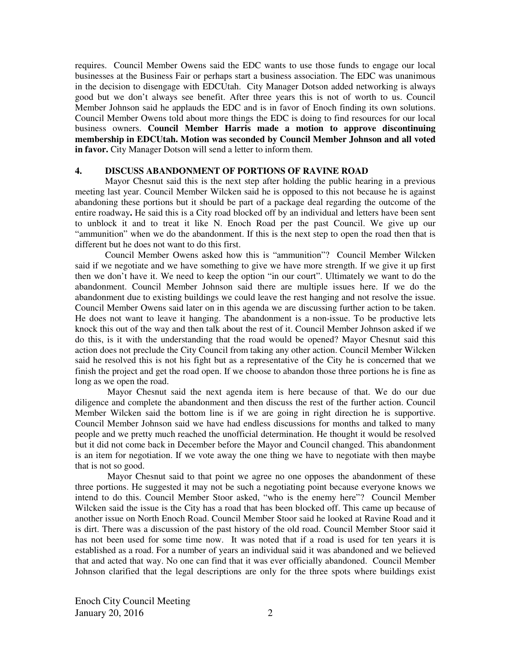requires. Council Member Owens said the EDC wants to use those funds to engage our local businesses at the Business Fair or perhaps start a business association. The EDC was unanimous in the decision to disengage with EDCUtah. City Manager Dotson added networking is always good but we don't always see benefit. After three years this is not of worth to us. Council Member Johnson said he applauds the EDC and is in favor of Enoch finding its own solutions. Council Member Owens told about more things the EDC is doing to find resources for our local business owners. **Council Member Harris made a motion to approve discontinuing membership in EDCUtah. Motion was seconded by Council Member Johnson and all voted in favor.** City Manager Dotson will send a letter to inform them.

### **4. DISCUSS ABANDONMENT OF PORTIONS OF RAVINE ROAD**

Mayor Chesnut said this is the next step after holding the public hearing in a previous meeting last year. Council Member Wilcken said he is opposed to this not because he is against abandoning these portions but it should be part of a package deal regarding the outcome of the entire roadway**.** He said this is a City road blocked off by an individual and letters have been sent to unblock it and to treat it like N. Enoch Road per the past Council. We give up our "ammunition" when we do the abandonment. If this is the next step to open the road then that is different but he does not want to do this first.

Council Member Owens asked how this is "ammunition"? Council Member Wilcken said if we negotiate and we have something to give we have more strength. If we give it up first then we don't have it. We need to keep the option "in our court". Ultimately we want to do the abandonment. Council Member Johnson said there are multiple issues here. If we do the abandonment due to existing buildings we could leave the rest hanging and not resolve the issue. Council Member Owens said later on in this agenda we are discussing further action to be taken. He does not want to leave it hanging. The abandonment is a non-issue. To be productive lets knock this out of the way and then talk about the rest of it. Council Member Johnson asked if we do this, is it with the understanding that the road would be opened? Mayor Chesnut said this action does not preclude the City Council from taking any other action. Council Member Wilcken said he resolved this is not his fight but as a representative of the City he is concerned that we finish the project and get the road open. If we choose to abandon those three portions he is fine as long as we open the road.

 Mayor Chesnut said the next agenda item is here because of that. We do our due diligence and complete the abandonment and then discuss the rest of the further action. Council Member Wilcken said the bottom line is if we are going in right direction he is supportive. Council Member Johnson said we have had endless discussions for months and talked to many people and we pretty much reached the unofficial determination. He thought it would be resolved but it did not come back in December before the Mayor and Council changed. This abandonment is an item for negotiation. If we vote away the one thing we have to negotiate with then maybe that is not so good.

 Mayor Chesnut said to that point we agree no one opposes the abandonment of these three portions. He suggested it may not be such a negotiating point because everyone knows we intend to do this. Council Member Stoor asked, "who is the enemy here"? Council Member Wilcken said the issue is the City has a road that has been blocked off. This came up because of another issue on North Enoch Road. Council Member Stoor said he looked at Ravine Road and it is dirt. There was a discussion of the past history of the old road. Council Member Stoor said it has not been used for some time now. It was noted that if a road is used for ten years it is established as a road. For a number of years an individual said it was abandoned and we believed that and acted that way. No one can find that it was ever officially abandoned. Council Member Johnson clarified that the legal descriptions are only for the three spots where buildings exist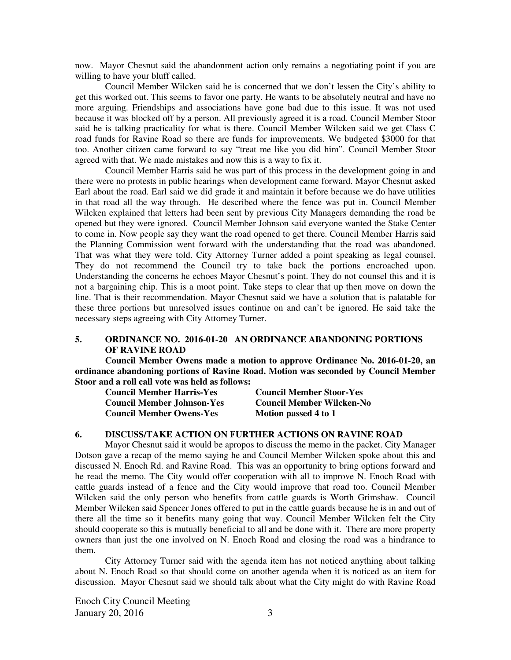now. Mayor Chesnut said the abandonment action only remains a negotiating point if you are willing to have your bluff called.

Council Member Wilcken said he is concerned that we don't lessen the City's ability to get this worked out. This seems to favor one party. He wants to be absolutely neutral and have no more arguing. Friendships and associations have gone bad due to this issue. It was not used because it was blocked off by a person. All previously agreed it is a road. Council Member Stoor said he is talking practicality for what is there. Council Member Wilcken said we get Class C road funds for Ravine Road so there are funds for improvements. We budgeted \$3000 for that too. Another citizen came forward to say "treat me like you did him". Council Member Stoor agreed with that. We made mistakes and now this is a way to fix it.

Council Member Harris said he was part of this process in the development going in and there were no protests in public hearings when development came forward. Mayor Chesnut asked Earl about the road. Earl said we did grade it and maintain it before because we do have utilities in that road all the way through. He described where the fence was put in. Council Member Wilcken explained that letters had been sent by previous City Managers demanding the road be opened but they were ignored. Council Member Johnson said everyone wanted the Stake Center to come in. Now people say they want the road opened to get there. Council Member Harris said the Planning Commission went forward with the understanding that the road was abandoned. That was what they were told. City Attorney Turner added a point speaking as legal counsel. They do not recommend the Council try to take back the portions encroached upon. Understanding the concerns he echoes Mayor Chesnut's point. They do not counsel this and it is not a bargaining chip. This is a moot point. Take steps to clear that up then move on down the line. That is their recommendation. Mayor Chesnut said we have a solution that is palatable for these three portions but unresolved issues continue on and can't be ignored. He said take the necessary steps agreeing with City Attorney Turner.

# **5. ORDINANCE NO. 2016-01-20 AN ORDINANCE ABANDONING PORTIONS OF RAVINE ROAD**

**Council Member Owens made a motion to approve Ordinance No. 2016-01-20, an ordinance abandoning portions of Ravine Road. Motion was seconded by Council Member Stoor and a roll call vote was held as follows:** 

| <b>Council Member Harris-Yes</b>  | <b>Council Member Stoor-Yes</b>  |
|-----------------------------------|----------------------------------|
| <b>Council Member Johnson-Yes</b> | <b>Council Member Wilcken-No</b> |
| <b>Council Member Owens-Yes</b>   | Motion passed 4 to 1             |

#### **6. DISCUSS/TAKE ACTION ON FURTHER ACTIONS ON RAVINE ROAD**

Mayor Chesnut said it would be apropos to discuss the memo in the packet. City Manager Dotson gave a recap of the memo saying he and Council Member Wilcken spoke about this and discussed N. Enoch Rd. and Ravine Road. This was an opportunity to bring options forward and he read the memo. The City would offer cooperation with all to improve N. Enoch Road with cattle guards instead of a fence and the City would improve that road too. Council Member Wilcken said the only person who benefits from cattle guards is Worth Grimshaw. Council Member Wilcken said Spencer Jones offered to put in the cattle guards because he is in and out of there all the time so it benefits many going that way. Council Member Wilcken felt the City should cooperate so this is mutually beneficial to all and be done with it. There are more property owners than just the one involved on N. Enoch Road and closing the road was a hindrance to them.

City Attorney Turner said with the agenda item has not noticed anything about talking about N. Enoch Road so that should come on another agenda when it is noticed as an item for discussion.Mayor Chesnut said we should talk about what the City might do with Ravine Road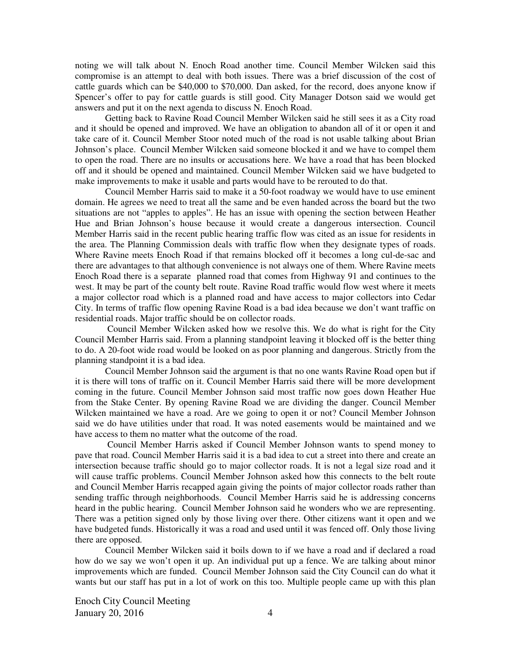noting we will talk about N. Enoch Road another time. Council Member Wilcken said this compromise is an attempt to deal with both issues. There was a brief discussion of the cost of cattle guards which can be \$40,000 to \$70,000. Dan asked, for the record, does anyone know if Spencer's offer to pay for cattle guards is still good. City Manager Dotson said we would get answers and put it on the next agenda to discuss N. Enoch Road.

Getting back to Ravine Road Council Member Wilcken said he still sees it as a City road and it should be opened and improved. We have an obligation to abandon all of it or open it and take care of it. Council Member Stoor noted much of the road is not usable talking about Brian Johnson's place. Council Member Wilcken said someone blocked it and we have to compel them to open the road. There are no insults or accusations here. We have a road that has been blocked off and it should be opened and maintained. Council Member Wilcken said we have budgeted to make improvements to make it usable and parts would have to be rerouted to do that.

Council Member Harris said to make it a 50-foot roadway we would have to use eminent domain. He agrees we need to treat all the same and be even handed across the board but the two situations are not "apples to apples". He has an issue with opening the section between Heather Hue and Brian Johnson's house because it would create a dangerous intersection. Council Member Harris said in the recent public hearing traffic flow was cited as an issue for residents in the area. The Planning Commission deals with traffic flow when they designate types of roads. Where Ravine meets Enoch Road if that remains blocked off it becomes a long cul-de-sac and there are advantages to that although convenience is not always one of them. Where Ravine meets Enoch Road there is a separate planned road that comes from Highway 91 and continues to the west. It may be part of the county belt route. Ravine Road traffic would flow west where it meets a major collector road which is a planned road and have access to major collectors into Cedar City. In terms of traffic flow opening Ravine Road is a bad idea because we don't want traffic on residential roads. Major traffic should be on collector roads.

 Council Member Wilcken asked how we resolve this. We do what is right for the City Council Member Harris said. From a planning standpoint leaving it blocked off is the better thing to do. A 20-foot wide road would be looked on as poor planning and dangerous. Strictly from the planning standpoint it is a bad idea.

Council Member Johnson said the argument is that no one wants Ravine Road open but if it is there will tons of traffic on it. Council Member Harris said there will be more development coming in the future. Council Member Johnson said most traffic now goes down Heather Hue from the Stake Center. By opening Ravine Road we are dividing the danger. Council Member Wilcken maintained we have a road. Are we going to open it or not? Council Member Johnson said we do have utilities under that road. It was noted easements would be maintained and we have access to them no matter what the outcome of the road.

 Council Member Harris asked if Council Member Johnson wants to spend money to pave that road. Council Member Harris said it is a bad idea to cut a street into there and create an intersection because traffic should go to major collector roads. It is not a legal size road and it will cause traffic problems. Council Member Johnson asked how this connects to the belt route and Council Member Harris recapped again giving the points of major collector roads rather than sending traffic through neighborhoods. Council Member Harris said he is addressing concerns heard in the public hearing. Council Member Johnson said he wonders who we are representing. There was a petition signed only by those living over there. Other citizens want it open and we have budgeted funds. Historically it was a road and used until it was fenced off. Only those living there are opposed.

Council Member Wilcken said it boils down to if we have a road and if declared a road how do we say we won't open it up. An individual put up a fence. We are talking about minor improvements which are funded. Council Member Johnson said the City Council can do what it wants but our staff has put in a lot of work on this too. Multiple people came up with this plan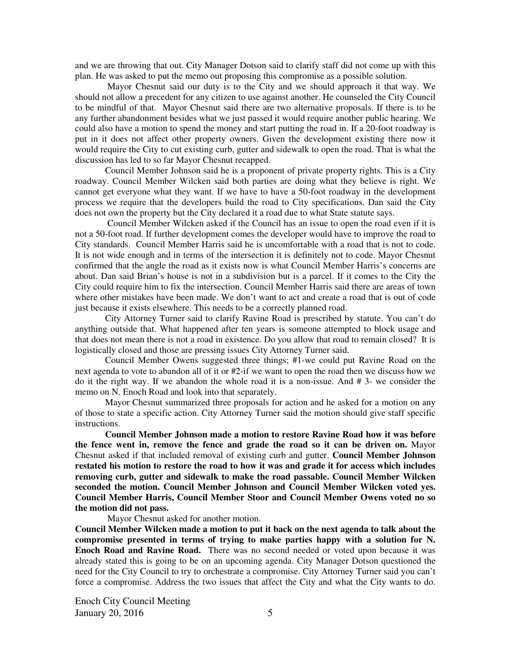and we are throwing that out. City Manager Dotson said to clarify staff did not come up with this plan. He was asked to put the memo out proposing this compromise as a possible solution.

 Mayor Chesnut said our duty is to the City and we should approach it that way. We should not allow a precedent for any citizen to use against another. He counseled the City Council to be mindful of that. Mayor Chesnut said there are two alternative proposals. If there is to be any further abandonment besides what we just passed it would require another public hearing. We could also have a motion to spend the money and start putting the road in. If a 20-foot roadway is put in it does not affect other property owners. Given the development existing there now it would require the City to cut existing curb, gutter and sidewalk to open the road. That is what the discussion has led to so far Mayor Chesnut recapped.

Council Member Johnson said he is a proponent of private property rights. This is a City roadway. Council Member Wilcken said both parties are doing what they believe is right. We cannot get everyone what they want. If we have to have a 50-foot roadway in the development process we require that the developers build the road to City specifications. Dan said the City does not own the property but the City declared it a road due to what State statute says.

 Council Member Wilcken asked if the Council has an issue to open the road even if it is not a 50-foot road. If further development comes the developer would have to improve the road to City standards. Council Member Harris said he is uncomfortable with a road that is not to code. It is not wide enough and in terms of the intersection it is definitely not to code. Mayor Chesnut confirmed that the angle the road as it exists now is what Council Member Harris's concerns are about. Dan said Brian's house is not in a subdivision but is a parcel. If it comes to the City the City could require him to fix the intersection. Council Member Harris said there are areas of town where other mistakes have been made. We don't want to act and create a road that is out of code just because it exists elsewhere. This needs to be a correctly planned road.

City Attorney Turner said to clarify Ravine Road is prescribed by statute. You can't do anything outside that. What happened after ten years is someone attempted to block usage and that does not mean there is not a road in existence. Do you allow that road to remain closed? It is logistically closed and those are pressing issues City Attorney Turner said.

Council Member Owens suggested three things; #1-we could put Ravine Road on the next agenda to vote to abandon all of it or #2-if we want to open the road then we discuss how we do it the right way. If we abandon the whole road it is a non-issue. And # 3- we consider the memo on N. Enoch Road and look into that separately.

Mayor Chesnut summarized three proposals for action and he asked for a motion on any of those to state a specific action. City Attorney Turner said the motion should give staff specific instructions.

 **Council Member Johnson made a motion to restore Ravine Road how it was before the fence went in, remove the fence and grade the road so it can be driven on.** Mayor Chesnut asked if that included removal of existing curb and gutter. **Council Member Johnson restated his motion to restore the road to how it was and grade it for access which includes removing curb, gutter and sidewalk to make the road passable. Council Member Wilcken seconded the motion. Council Member Johnson and Council Member Wilcken voted yes. Council Member Harris, Council Member Stoor and Council Member Owens voted no so the motion did not pass.** 

Mayor Chesnut asked for another motion.

**Council Member Wilcken made a motion to put it back on the next agenda to talk about the compromise presented in terms of trying to make parties happy with a solution for N. Enoch Road and Ravine Road.** There was no second needed or voted upon because it was already stated this is going to be on an upcoming agenda. City Manager Dotson questioned the need for the City Council to try to orchestrate a compromise. City Attorney Turner said you can't force a compromise. Address the two issues that affect the City and what the City wants to do.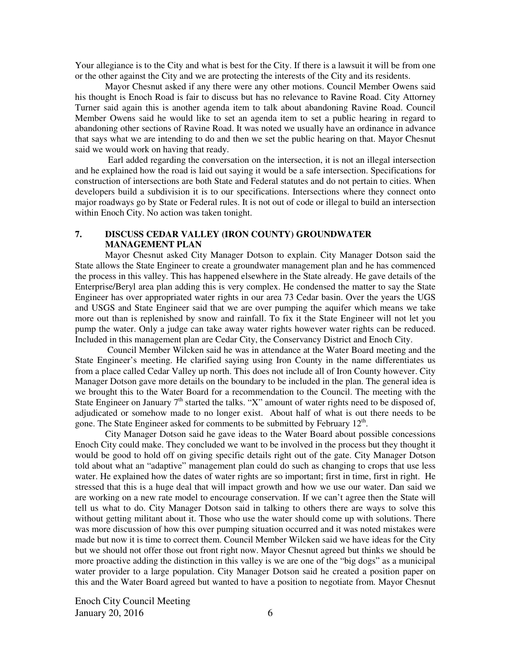Your allegiance is to the City and what is best for the City. If there is a lawsuit it will be from one or the other against the City and we are protecting the interests of the City and its residents.

Mayor Chesnut asked if any there were any other motions. Council Member Owens said his thought is Enoch Road is fair to discuss but has no relevance to Ravine Road. City Attorney Turner said again this is another agenda item to talk about abandoning Ravine Road. Council Member Owens said he would like to set an agenda item to set a public hearing in regard to abandoning other sections of Ravine Road. It was noted we usually have an ordinance in advance that says what we are intending to do and then we set the public hearing on that. Mayor Chesnut said we would work on having that ready.

Earl added regarding the conversation on the intersection, it is not an illegal intersection and he explained how the road is laid out saying it would be a safe intersection. Specifications for construction of intersections are both State and Federal statutes and do not pertain to cities. When developers build a subdivision it is to our specifications. Intersections where they connect onto major roadways go by State or Federal rules. It is not out of code or illegal to build an intersection within Enoch City. No action was taken tonight.

### **7. DISCUSS CEDAR VALLEY (IRON COUNTY) GROUNDWATER MANAGEMENT PLAN**

Mayor Chesnut asked City Manager Dotson to explain. City Manager Dotson said the State allows the State Engineer to create a groundwater management plan and he has commenced the process in this valley. This has happened elsewhere in the State already. He gave details of the Enterprise/Beryl area plan adding this is very complex. He condensed the matter to say the State Engineer has over appropriated water rights in our area 73 Cedar basin. Over the years the UGS and USGS and State Engineer said that we are over pumping the aquifer which means we take more out than is replenished by snow and rainfall. To fix it the State Engineer will not let you pump the water. Only a judge can take away water rights however water rights can be reduced. Included in this management plan are Cedar City, the Conservancy District and Enoch City.

 Council Member Wilcken said he was in attendance at the Water Board meeting and the State Engineer's meeting. He clarified saying using Iron County in the name differentiates us from a place called Cedar Valley up north. This does not include all of Iron County however. City Manager Dotson gave more details on the boundary to be included in the plan. The general idea is we brought this to the Water Board for a recommendation to the Council. The meeting with the State Engineer on January 7<sup>th</sup> started the talks. "X" amount of water rights need to be disposed of, adjudicated or somehow made to no longer exist. About half of what is out there needs to be gone. The State Engineer asked for comments to be submitted by February  $12<sup>th</sup>$ .

City Manager Dotson said he gave ideas to the Water Board about possible concessions Enoch City could make. They concluded we want to be involved in the process but they thought it would be good to hold off on giving specific details right out of the gate. City Manager Dotson told about what an "adaptive" management plan could do such as changing to crops that use less water. He explained how the dates of water rights are so important; first in time, first in right. He stressed that this is a huge deal that will impact growth and how we use our water. Dan said we are working on a new rate model to encourage conservation. If we can't agree then the State will tell us what to do. City Manager Dotson said in talking to others there are ways to solve this without getting militant about it. Those who use the water should come up with solutions. There was more discussion of how this over pumping situation occurred and it was noted mistakes were made but now it is time to correct them. Council Member Wilcken said we have ideas for the City but we should not offer those out front right now. Mayor Chesnut agreed but thinks we should be more proactive adding the distinction in this valley is we are one of the "big dogs" as a municipal water provider to a large population. City Manager Dotson said he created a position paper on this and the Water Board agreed but wanted to have a position to negotiate from. Mayor Chesnut

Enoch City Council Meeting January 20, 2016  $\qquad \qquad$  6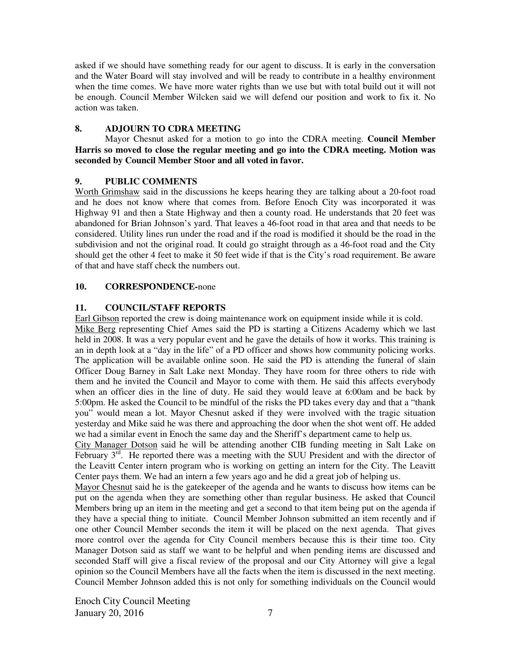asked if we should have something ready for our agent to discuss. It is early in the conversation and the Water Board will stay involved and will be ready to contribute in a healthy environment when the time comes. We have more water rights than we use but with total build out it will not be enough. Council Member Wilcken said we will defend our position and work to fix it. No action was taken.

# **8. ADJOURN TO CDRA MEETING**

Mayor Chesnut asked for a motion to go into the CDRA meeting. **Council Member Harris so moved to close the regular meeting and go into the CDRA meeting. Motion was seconded by Council Member Stoor and all voted in favor.** 

# **9. PUBLIC COMMENTS**

Worth Grimshaw said in the discussions he keeps hearing they are talking about a 20-foot road and he does not know where that comes from. Before Enoch City was incorporated it was Highway 91 and then a State Highway and then a county road. He understands that 20 feet was abandoned for Brian Johnson's yard. That leaves a 46-foot road in that area and that needs to be considered. Utility lines run under the road and if the road is modified it should be the road in the subdivision and not the original road. It could go straight through as a 46-foot road and the City should get the other 4 feet to make it 50 feet wide if that is the City's road requirement. Be aware of that and have staff check the numbers out.

# **10. CORRESPONDENCE-**none

# **11. COUNCIL/STAFF REPORTS**

Earl Gibson reported the crew is doing maintenance work on equipment inside while it is cold.

Mike Berg representing Chief Ames said the PD is starting a Citizens Academy which we last held in 2008. It was a very popular event and he gave the details of how it works. This training is an in depth look at a "day in the life" of a PD officer and shows how community policing works. The application will be available online soon. He said the PD is attending the funeral of slain Officer Doug Barney in Salt Lake next Monday. They have room for three others to ride with them and he invited the Council and Mayor to come with them. He said this affects everybody when an officer dies in the line of duty. He said they would leave at 6:00am and be back by 5:00pm. He asked the Council to be mindful of the risks the PD takes every day and that a "thank you" would mean a lot. Mayor Chesnut asked if they were involved with the tragic situation yesterday and Mike said he was there and approaching the door when the shot went off. He added we had a similar event in Enoch the same day and the Sheriff's department came to help us.

City Manager Dotson said he will be attending another CIB funding meeting in Salt Lake on February  $3^{\overline{rd}}$ . He reported there was a meeting with the SUU President and with the director of the Leavitt Center intern program who is working on getting an intern for the City. The Leavitt Center pays them. We had an intern a few years ago and he did a great job of helping us.

Mayor Chesnut said he is the gatekeeper of the agenda and he wants to discuss how items can be put on the agenda when they are something other than regular business. He asked that Council Members bring up an item in the meeting and get a second to that item being put on the agenda if they have a special thing to initiate. Council Member Johnson submitted an item recently and if one other Council Member seconds the item it will be placed on the next agenda. That gives more control over the agenda for City Council members because this is their time too. City Manager Dotson said as staff we want to be helpful and when pending items are discussed and seconded Staff will give a fiscal review of the proposal and our City Attorney will give a legal opinion so the Council Members have all the facts when the item is discussed in the next meeting. Council Member Johnson added this is not only for something individuals on the Council would